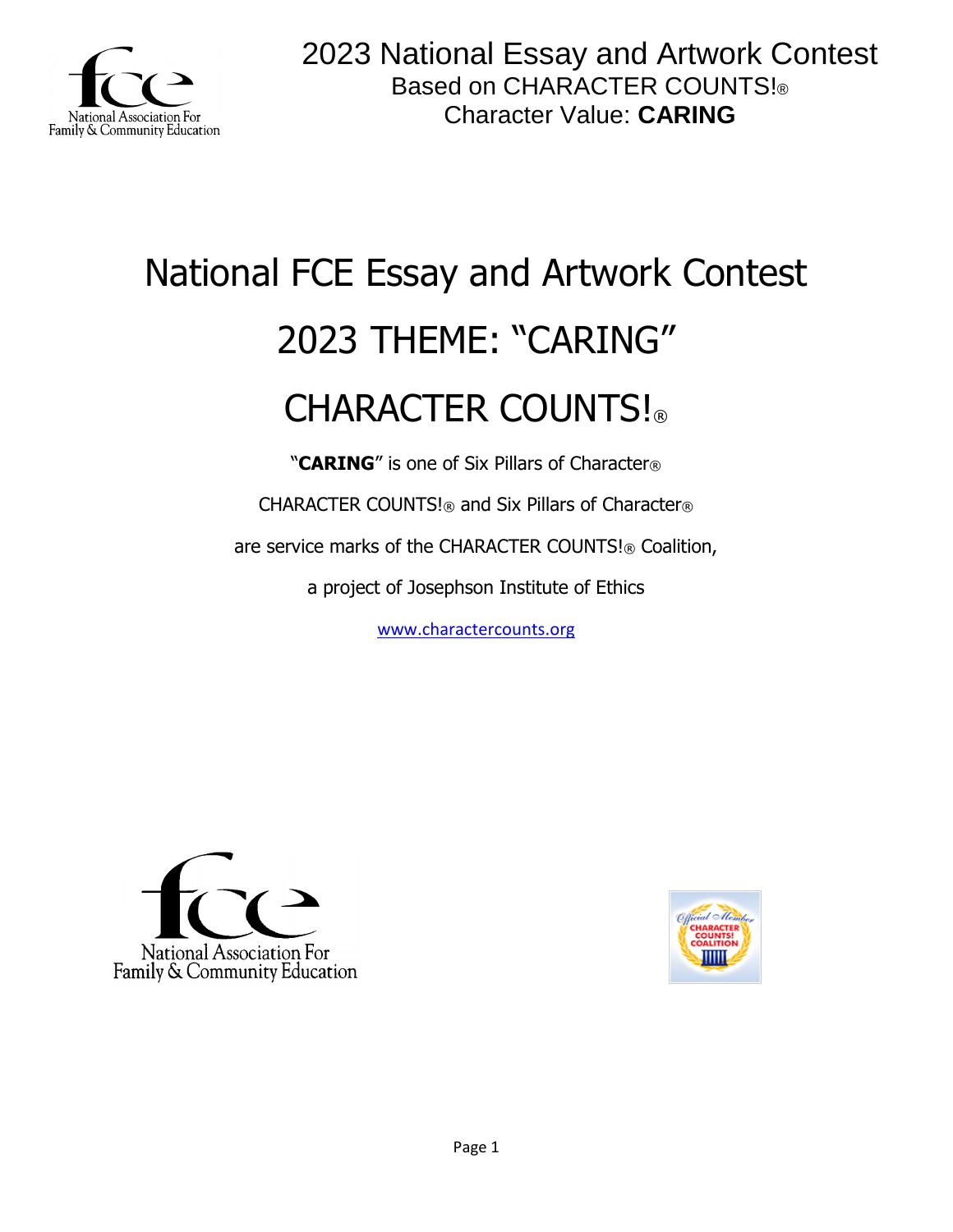

# National FCE Essay and Artwork Contest 2023 THEME: "CARING" CHARACTER COUNTS!

"**CARING**" is one of Six Pillars of Character®

CHARACTER COUNTS!® and Six Pillars of Character®

are service marks of the CHARACTER COUNTS!® Coalition,

a project of Josephson Institute of Ethics

[www.charactercounts.org](http://www.charactercounts.org/)



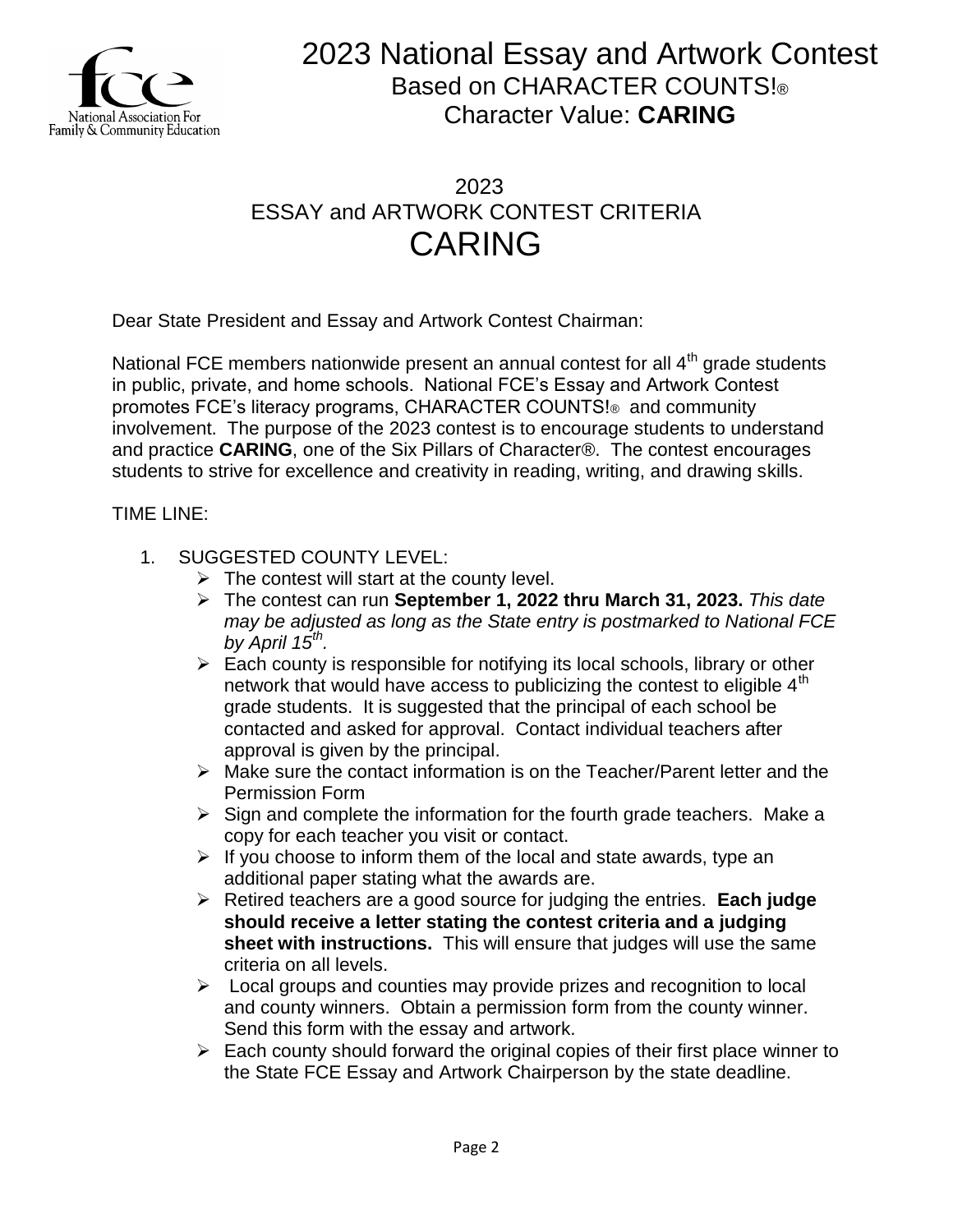

### 2023 ESSAY and ARTWORK CONTEST CRITERIA CARING

Dear State President and Essay and Artwork Contest Chairman:

National FCE members nationwide present an annual contest for all 4<sup>th</sup> grade students in public, private, and home schools. National FCE's Essay and Artwork Contest promotes FCE's literacy programs, CHARACTER COUNTS!® and community involvement. The purpose of the 2023 contest is to encourage students to understand and practice **CARING**, one of the Six Pillars of Character®. The contest encourages students to strive for excellence and creativity in reading, writing, and drawing skills.

TIME LINE:

- 1. SUGGESTED COUNTY LEVEL:
	- $\triangleright$  The contest will start at the county level.
	- The contest can run **September 1, 2022 thru March 31, 2023.** *This date may be adjusted as long as the State entry is postmarked to National FCE by April 15th .*
	- $\triangleright$  Each county is responsible for notifying its local schools, library or other network that would have access to publicizing the contest to eligible 4<sup>th</sup> grade students. It is suggested that the principal of each school be contacted and asked for approval. Contact individual teachers after approval is given by the principal.
	- $\triangleright$  Make sure the contact information is on the Teacher/Parent letter and the Permission Form
	- $\triangleright$  Sign and complete the information for the fourth grade teachers. Make a copy for each teacher you visit or contact.
	- $\triangleright$  If you choose to inform them of the local and state awards, type an additional paper stating what the awards are.
	- Retired teachers are a good source for judging the entries. **Each judge should receive a letter stating the contest criteria and a judging sheet with instructions.** This will ensure that judges will use the same criteria on all levels.
	- $\triangleright$  Local groups and counties may provide prizes and recognition to local and county winners. Obtain a permission form from the county winner. Send this form with the essay and artwork.
	- $\triangleright$  Each county should forward the original copies of their first place winner to the State FCE Essay and Artwork Chairperson by the state deadline.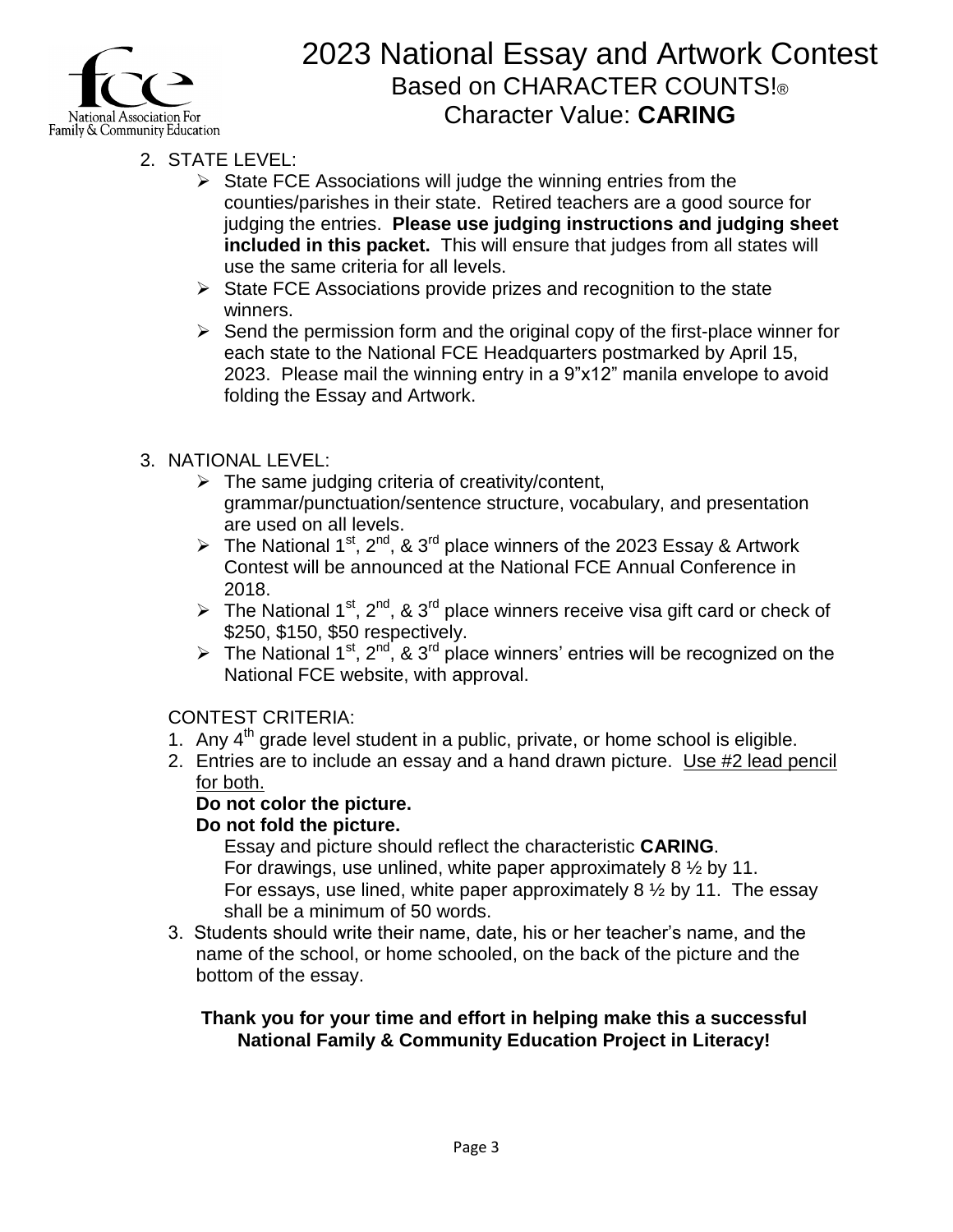

- 2. STATE LEVEL:
	- $\triangleright$  State FCE Associations will judge the winning entries from the counties/parishes in their state. Retired teachers are a good source for judging the entries. **Please use judging instructions and judging sheet included in this packet.** This will ensure that judges from all states will use the same criteria for all levels.
	- $\triangleright$  State FCE Associations provide prizes and recognition to the state winners.
	- $\triangleright$  Send the permission form and the original copy of the first-place winner for each state to the National FCE Headquarters postmarked by April 15, 2023. Please mail the winning entry in a 9"x12" manila envelope to avoid folding the Essay and Artwork.

### 3. NATIONAL LEVEL:

- $\triangleright$  The same judging criteria of creativity/content, grammar/punctuation/sentence structure, vocabulary, and presentation are used on all levels.
- The National 1<sup>st</sup>, 2<sup>nd</sup>, & 3<sup>rd</sup> place winners of the 2023 Essay & Artwork Contest will be announced at the National FCE Annual Conference in 2018.
- The National 1<sup>st</sup>, 2<sup>nd</sup>, & 3<sup>rd</sup> place winners receive visa gift card or check of \$250, \$150, \$50 respectively.
- The National 1<sup>st</sup>, 2<sup>nd</sup>, & 3<sup>rd</sup> place winners' entries will be recognized on the National FCE website, with approval.

#### CONTEST CRITERIA:

- 1. Any  $4<sup>th</sup>$  grade level student in a public, private, or home school is eligible.
- 2. Entries are to include an essay and a hand drawn picture. Use #2 lead pencil for both.

#### **Do not color the picture.**

#### **Do not fold the picture.**

Essay and picture should reflect the characteristic **CARING**. For drawings, use unlined, white paper approximately  $8\frac{1}{2}$  by 11. For essays, use lined, white paper approximately  $8\frac{1}{2}$  by 11. The essay shall be a minimum of 50 words.

3. Students should write their name, date, his or her teacher's name, and the name of the school, or home schooled, on the back of the picture and the bottom of the essay.

#### **Thank you for your time and effort in helping make this a successful National Family & Community Education Project in Literacy!**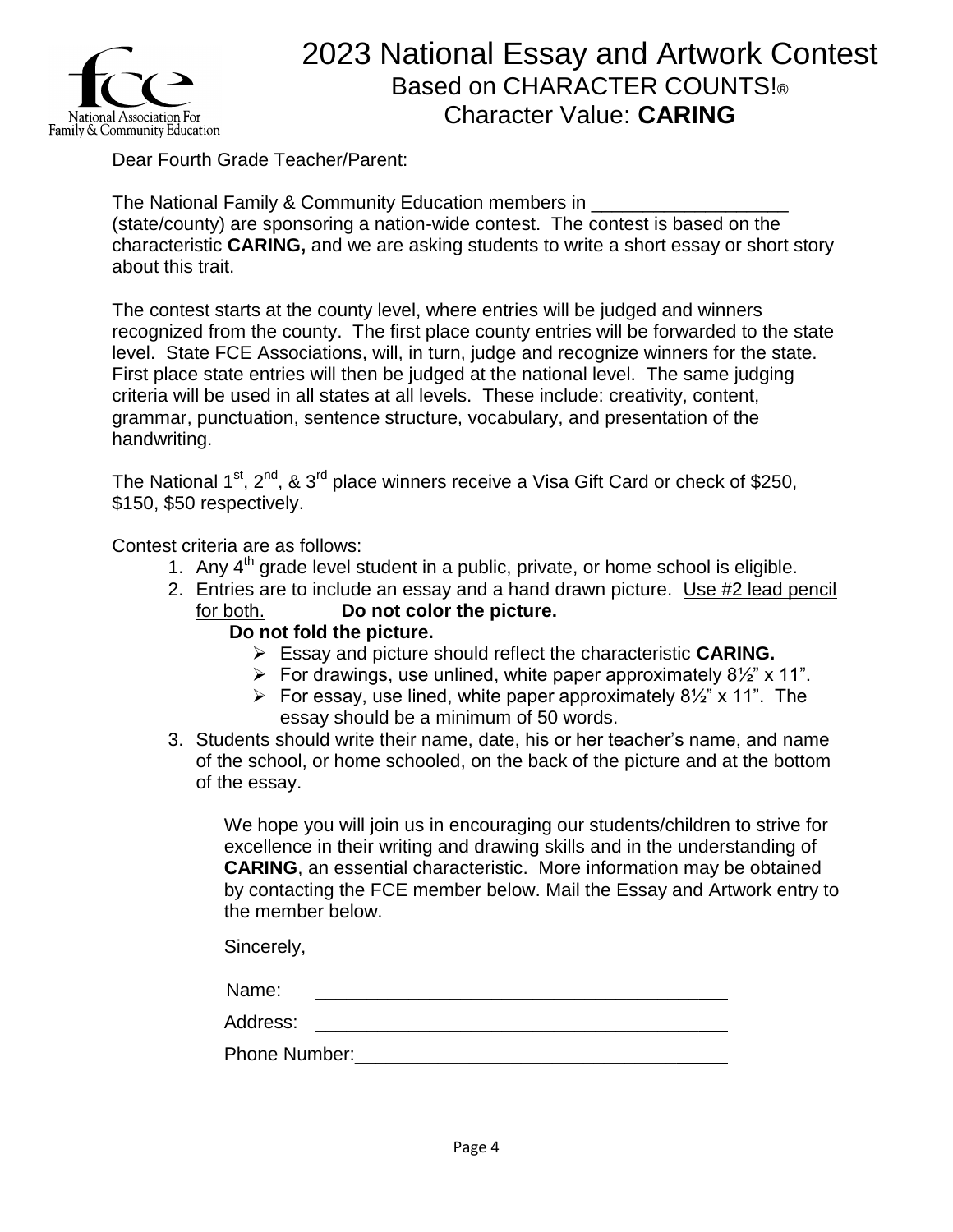

Dear Fourth Grade Teacher/Parent:

The National Family & Community Education members in \_\_\_\_\_\_\_\_\_\_\_\_\_\_\_\_\_\_\_ (state/county) are sponsoring a nation-wide contest. The contest is based on the characteristic **CARING,** and we are asking students to write a short essay or short story about this trait.

The contest starts at the county level, where entries will be judged and winners recognized from the county. The first place county entries will be forwarded to the state level. State FCE Associations, will, in turn, judge and recognize winners for the state. First place state entries will then be judged at the national level. The same judging criteria will be used in all states at all levels. These include: creativity, content, grammar, punctuation, sentence structure, vocabulary, and presentation of the handwriting.

The National  $1<sup>st</sup>$ ,  $2<sup>nd</sup>$ , &  $3<sup>rd</sup>$  place winners receive a Visa Gift Card or check of \$250, \$150, \$50 respectively.

Contest criteria are as follows:

- 1. Any  $4<sup>th</sup>$  grade level student in a public, private, or home school is eligible.
- 2. Entries are to include an essay and a hand drawn picture. Use #2 lead pencil for both. **Do not color the picture.**

#### **Do not fold the picture.**

- Essay and picture should reflect the characteristic **CARING.**
- For drawings, use unlined, white paper approximately  $8\frac{1}{2}$  x 11".
- For essay, use lined, white paper approximately  $8\frac{1}{2}$  x 11". The essay should be a minimum of 50 words.
- 3. Students should write their name, date, his or her teacher's name, and name of the school, or home schooled, on the back of the picture and at the bottom of the essay.

We hope you will join us in encouraging our students/children to strive for excellence in their writing and drawing skills and in the understanding of **CARING**, an essential characteristic. More information may be obtained by contacting the FCE member below. Mail the Essay and Artwork entry to the member below.

Sincerely,

| Name:    |  |
|----------|--|
| Address: |  |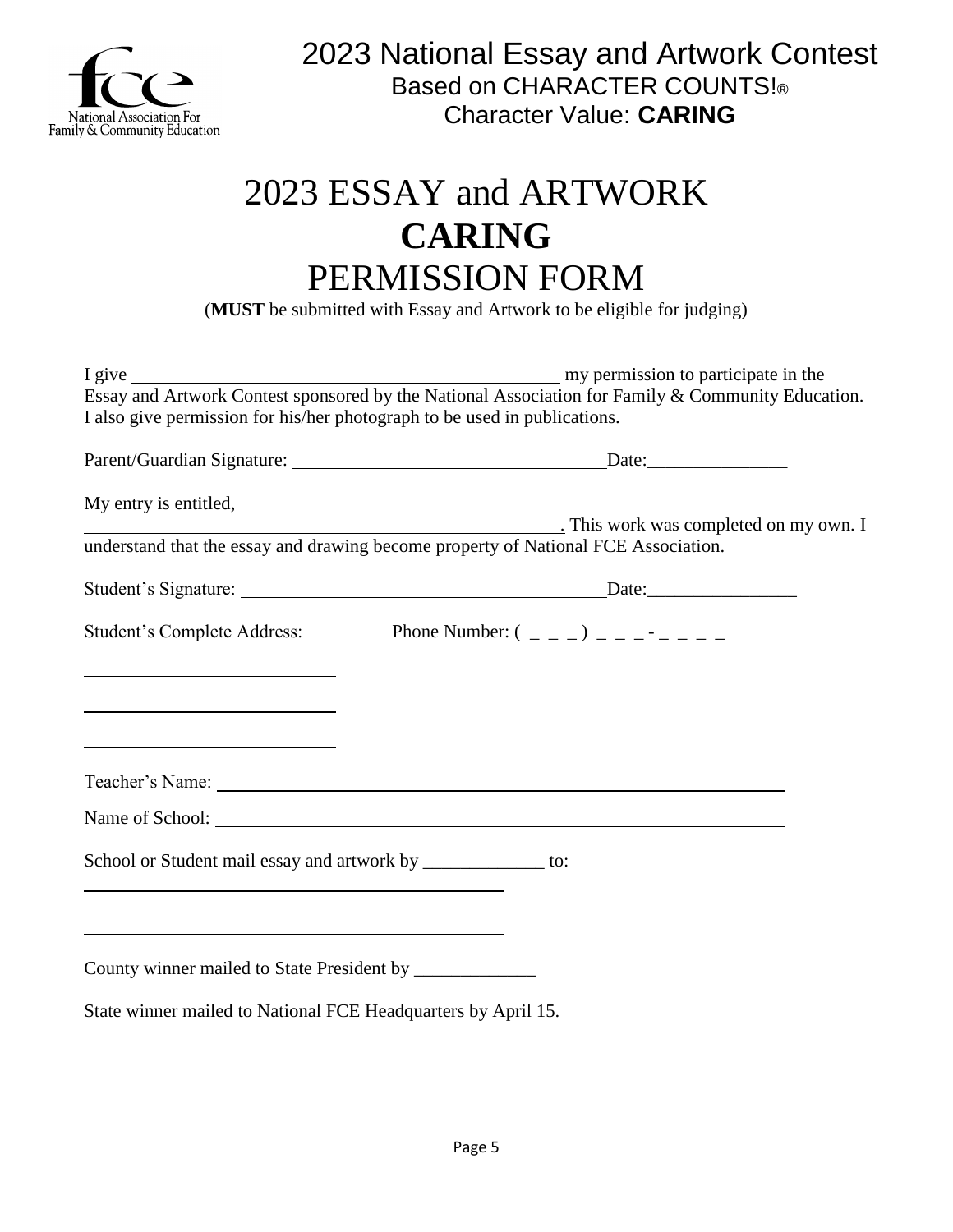

## 2023 ESSAY and ARTWORK **CARING** PERMISSION FORM

(**MUST** be submitted with Essay and Artwork to be eligible for judging)

| I also give permission for his/her photograph to be used in publications.                                              | Essay and Artwork Contest sponsored by the National Association for Family & Community Education. |
|------------------------------------------------------------------------------------------------------------------------|---------------------------------------------------------------------------------------------------|
|                                                                                                                        |                                                                                                   |
| My entry is entitled,                                                                                                  | This work was completed on my own. I                                                              |
|                                                                                                                        | understand that the essay and drawing become property of National FCE Association.                |
|                                                                                                                        |                                                                                                   |
|                                                                                                                        | Student's Complete Address: Phone Number: $(2, 2)$                                                |
|                                                                                                                        |                                                                                                   |
| <u> 1980 - Johann Barbara, martxa alemaniar amerikan a</u>                                                             |                                                                                                   |
| <u> 1989 - Johann Barn, mars ar breithinn ar breithinn ar breithinn ar breithinn ar breithinn ar breithinn ar br</u>   |                                                                                                   |
|                                                                                                                        |                                                                                                   |
|                                                                                                                        | Name of School:                                                                                   |
| School or Student mail essay and artwork by ______________ to:                                                         |                                                                                                   |
| <u> 1989 - Johann Barn, mars ann an t-Amhain ann an t-Amhain ann an t-Amhain ann an t-Amhain an t-Amhain ann an t-</u> |                                                                                                   |
|                                                                                                                        |                                                                                                   |
| State winner mailed to National FCE Headquarters by April 15.                                                          |                                                                                                   |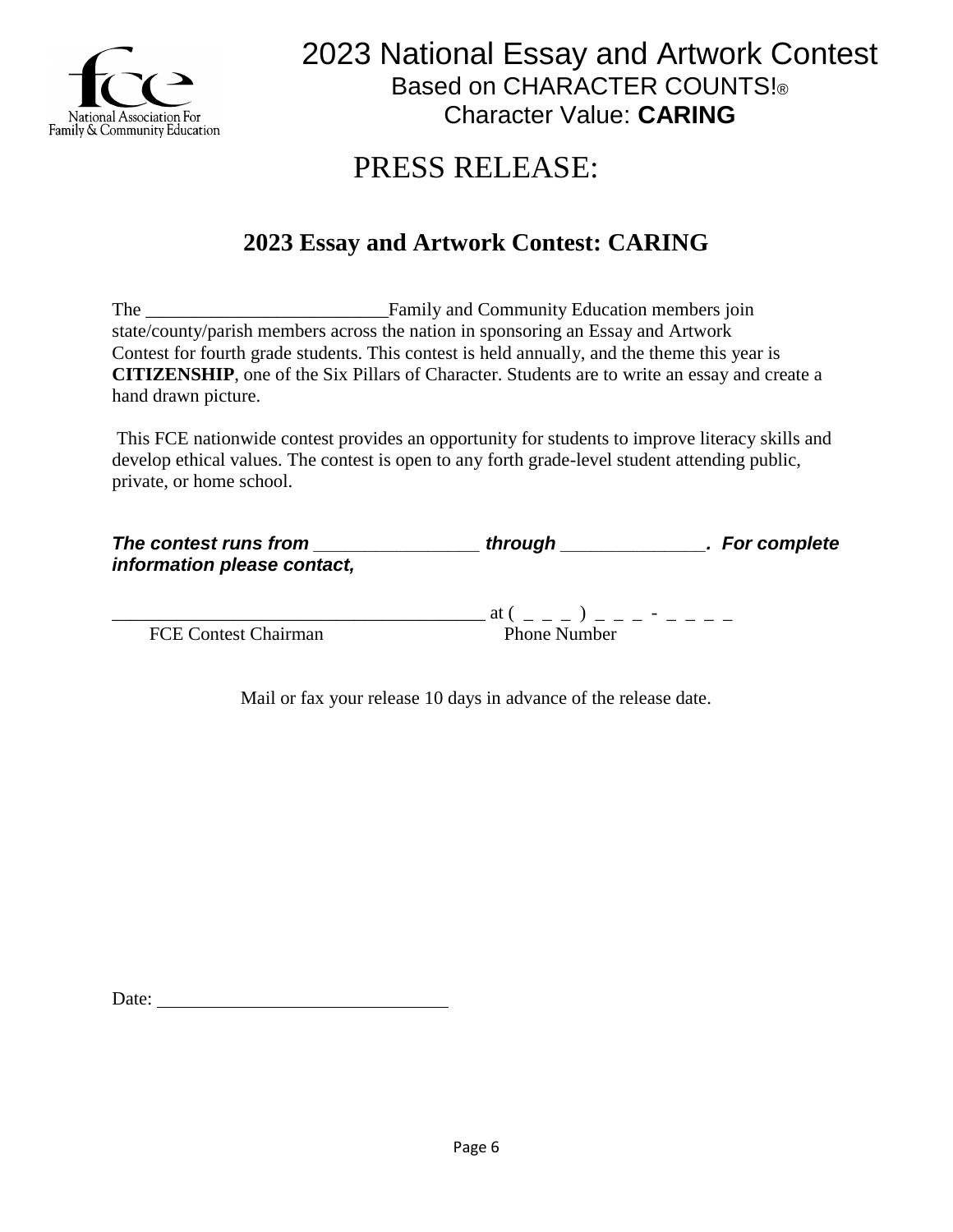

### PRESS RELEASE:

### **2023 Essay and Artwork Contest: CARING**

The Family and Community Education members join state/county/parish members across the nation in sponsoring an Essay and Artwork Contest for fourth grade students. This contest is held annually, and the theme this year is **CITIZENSHIP**, one of the Six Pillars of Character. Students are to write an essay and create a hand drawn picture.

This FCE nationwide contest provides an opportunity for students to improve literacy skills and develop ethical values. The contest is open to any forth grade-level student attending public, private, or home school.

| The contest runs from       | through | . For complete |
|-----------------------------|---------|----------------|
| information please contact, |         |                |
|                             |         |                |

FCE Contest Chairman Phone Number

 $\mathfrak{a} \mathfrak{t}$  ( \_ \_ \_ ) \_ \_ \_ - \_ \_ \_ \_

Mail or fax your release 10 days in advance of the release date.

Date: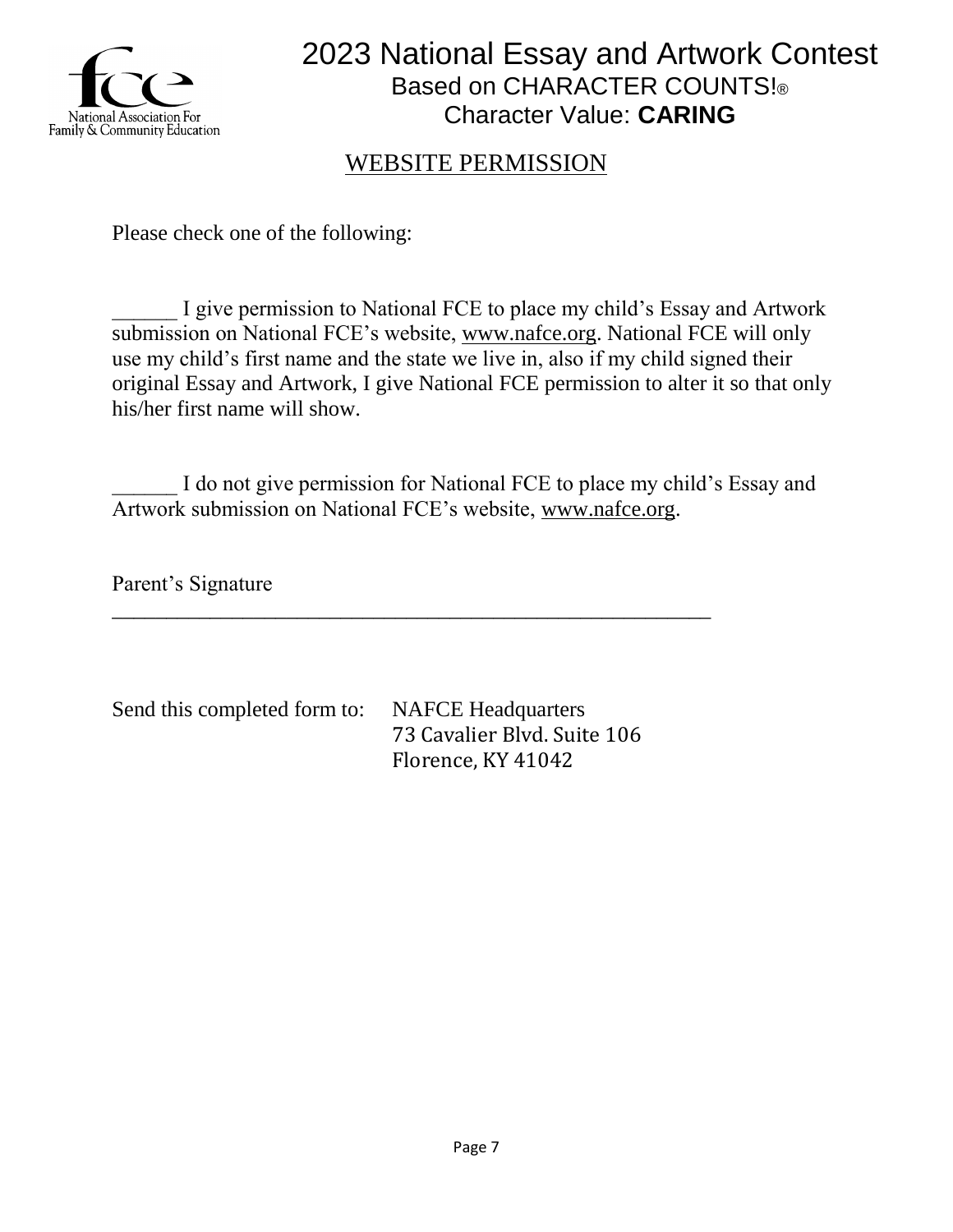

### WEBSITE PERMISSION

Please check one of the following:

I give permission to National FCE to place my child's Essay and Artwork submission on National FCE's website, [www.nafce.org.](http://www.nafce.org/) National FCE will only use my child's first name and the state we live in, also if my child signed their original Essay and Artwork, I give National FCE permission to alter it so that only his/her first name will show.

I do not give permission for National FCE to place my child's Essay and Artwork submission on National FCE's website, [www.nafce.org.](http://www.nafce.org/)

\_\_\_\_\_\_\_\_\_\_\_\_\_\_\_\_\_\_\_\_\_\_\_\_\_\_\_\_\_\_\_\_\_\_\_\_\_\_\_\_\_\_\_\_\_\_\_\_\_\_\_\_\_\_\_

Parent's Signature

Send this completed form to: NAFCE Headquarters

73 Cavalier Blvd. Suite 106 Florence, KY 41042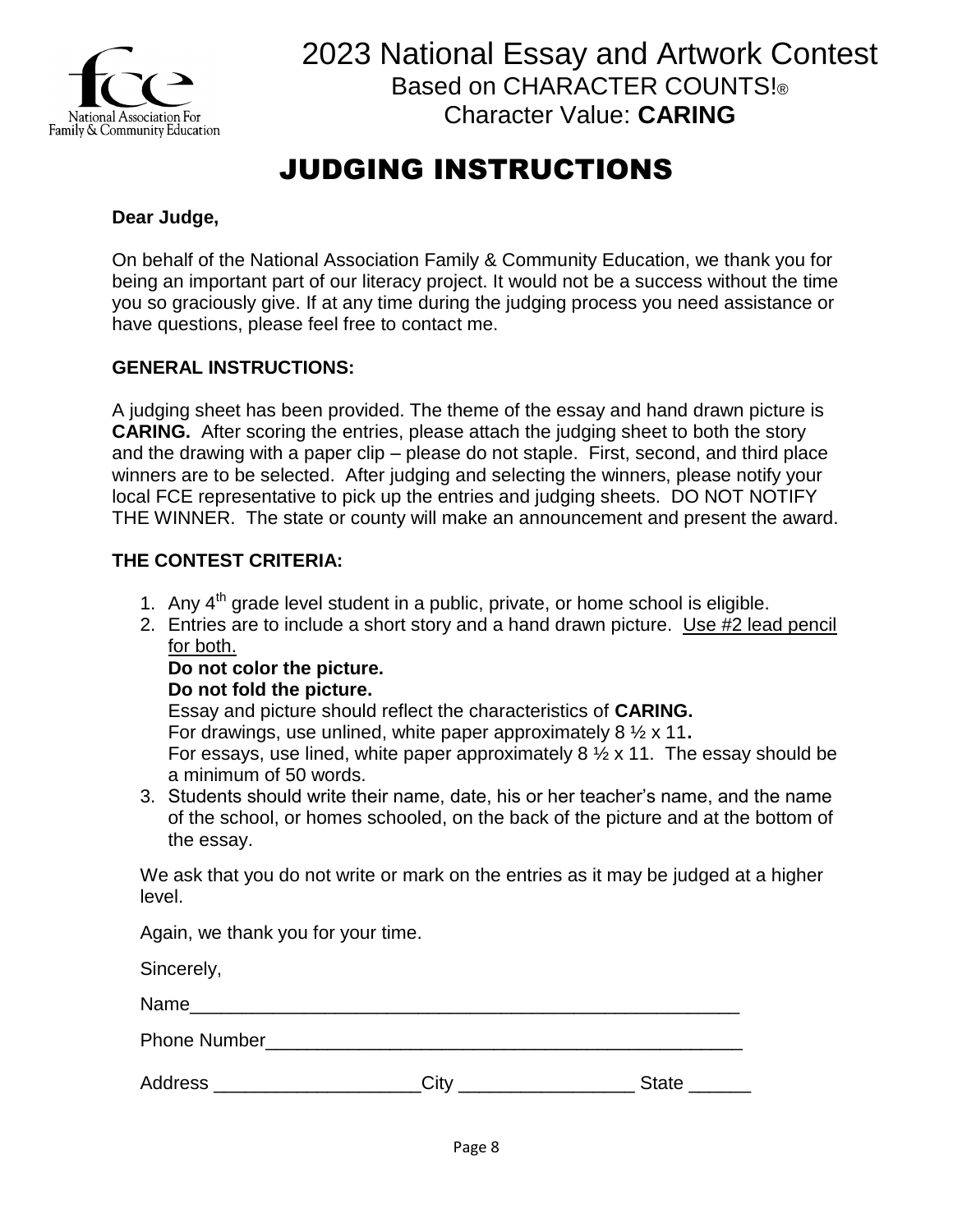

### JUDGING INSTRUCTIONS

#### **Dear Judge,**

On behalf of the National Association Family & Community Education, we thank you for being an important part of our literacy project. It would not be a success without the time you so graciously give. If at any time during the judging process you need assistance or have questions, please feel free to contact me.

#### **GENERAL INSTRUCTIONS:**

A judging sheet has been provided. The theme of the essay and hand drawn picture is **CARING.** After scoring the entries, please attach the judging sheet to both the story and the drawing with a paper clip – please do not staple. First, second, and third place winners are to be selected. After judging and selecting the winners, please notify your local FCE representative to pick up the entries and judging sheets. DO NOT NOTIFY THE WINNER. The state or county will make an announcement and present the award.

#### **THE CONTEST CRITERIA:**

- 1. Any  $4<sup>th</sup>$  grade level student in a public, private, or home school is eligible.
- 2. Entries are to include a short story and a hand drawn picture. Use #2 lead pencil for both.

#### **Do not color the picture.**

#### **Do not fold the picture.**

Essay and picture should reflect the characteristics of **CARING.** For drawings, use unlined, white paper approximately 8 ½ x 11**.** For essays, use lined, white paper approximately 8  $\frac{1}{2}$  x 11. The essay should be a minimum of 50 words.

3. Students should write their name, date, his or her teacher's name, and the name of the school, or homes schooled, on the back of the picture and at the bottom of the essay.

We ask that you do not write or mark on the entries as it may be judged at a higher level.

Again, we thank you for your time.

Sincerely,

Name\_\_\_\_\_\_\_\_\_\_\_\_\_\_\_\_\_\_\_\_\_\_\_\_\_\_\_\_\_\_\_\_\_\_\_\_\_\_\_\_\_\_\_\_\_\_\_\_\_\_\_\_\_

| <b>Phone Number</b> |  |  |
|---------------------|--|--|

| <b>Address</b><br><b>State</b><br>اٽٽ |  |
|---------------------------------------|--|
|---------------------------------------|--|